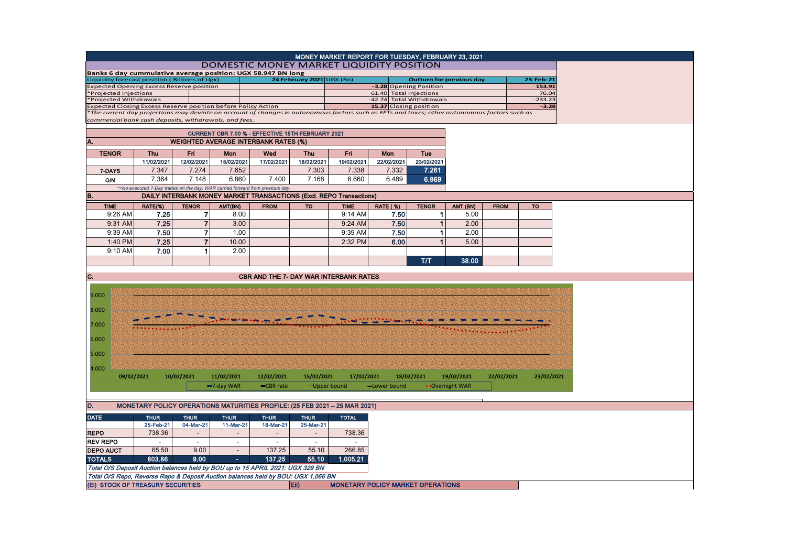|                                                                                                                                              |             |                |                                                                              |                                               |                           | MONEY MARKET REPORT FOR TUESDAY, FEBRUARY 23, 2021 |                                                    |                                 |                 |             |                    |
|----------------------------------------------------------------------------------------------------------------------------------------------|-------------|----------------|------------------------------------------------------------------------------|-----------------------------------------------|---------------------------|----------------------------------------------------|----------------------------------------------------|---------------------------------|-----------------|-------------|--------------------|
|                                                                                                                                              |             |                | DOMESTIC MONEY MARKET LIQUIDITY POSITION                                     |                                               |                           |                                                    |                                                    |                                 |                 |             |                    |
| Banks 6 day cummulative average position: UGX 58.947 BN long                                                                                 |             |                |                                                                              |                                               |                           |                                                    |                                                    |                                 |                 |             |                    |
| Liquidity forecast position (Billions of Ugx)                                                                                                |             |                |                                                                              |                                               | 24 February 2021 UGX (Bn) |                                                    |                                                    | <b>Outturn for previous day</b> |                 |             | 23-Feb-21          |
| xpected Opening Excess Reserve position                                                                                                      |             |                |                                                                              |                                               |                           |                                                    | -3.28 Opening Position                             |                                 |                 |             | 153.91             |
| Projected Injections<br>*Projected Withdrawals                                                                                               |             |                |                                                                              |                                               |                           |                                                    | 61.40 Total Injections<br>-42.74 Total Withdrawals |                                 |                 |             | 76.04<br>$-233.23$ |
| xpected Closing Excess Reserve position before Policy Action                                                                                 |             |                |                                                                              |                                               |                           |                                                    | 15.37 Closing position                             |                                 |                 |             | $-3.28$            |
| The current day projections may deviate on account of changes in autonomous factors such as EFTs and taxes; other autonomous factors such as |             |                |                                                                              |                                               |                           |                                                    |                                                    |                                 |                 |             |                    |
| commercial bank cash deposits, withdrawals, and fees.                                                                                        |             |                |                                                                              |                                               |                           |                                                    |                                                    |                                 |                 |             |                    |
|                                                                                                                                              |             |                | CURRENT CBR 7.00 % - EFFECTIVE 15TH FEBRUARY 2021                            |                                               |                           |                                                    |                                                    |                                 |                 |             |                    |
|                                                                                                                                              |             |                |                                                                              |                                               |                           |                                                    |                                                    |                                 |                 |             |                    |
|                                                                                                                                              |             |                | <b>WEIGHTED AVERAGE INTERBANK RATES (%)</b>                                  |                                               |                           |                                                    |                                                    |                                 |                 |             |                    |
| <b>TENOR</b>                                                                                                                                 | <b>Thu</b>  | Fri            | Mon                                                                          | Wed                                           | <b>Thu</b>                | Fri                                                | Mon                                                | Tue                             |                 |             |                    |
|                                                                                                                                              | 11/02/2021  | 12/02/2021     | 15/02/2021                                                                   | 17/02/2021                                    | 18/02/2021                | 19/02/2021                                         | 22/02/2021                                         | 23/02/2021                      |                 |             |                    |
| 7-DAYS                                                                                                                                       | 7.347       | 7.274          | 7.652                                                                        |                                               | 7.303                     | 7.338                                              | 7.332                                              | 7.261                           |                 |             |                    |
| <b>O/N</b>                                                                                                                                   | 7.364       | 7.148          | 6.860                                                                        | 7.400                                         | 7.168                     | 6.660                                              | 6.489                                              | 6.969                           |                 |             |                    |
|                                                                                                                                              |             |                | *=No executed 7-Day trades on the day. WAR carried forward from previous day |                                               |                           |                                                    |                                                    |                                 |                 |             |                    |
| B.                                                                                                                                           |             |                | DAILY INTERBANK MONEY MARKET TRANSACTIONS (Excl. REPO Transactions)          |                                               |                           |                                                    |                                                    |                                 |                 |             |                    |
| <b>TIME</b>                                                                                                                                  | RATE(%)     | <b>TENOR</b>   | AMT(BN)                                                                      | <b>FROM</b>                                   | <b>TO</b>                 | <b>TIME</b>                                        | <b>RATE (%)</b>                                    | <b>TENOR</b>                    | AMT (BN)        | <b>FROM</b> | <b>TO</b>          |
| 9:26 AM                                                                                                                                      | 7.25        | 7              | 8.00                                                                         |                                               |                           | 9:14 AM                                            | 7.50                                               | -1                              | 5.00            |             |                    |
| 9:31 AM                                                                                                                                      | 7.25        | $\overline{7}$ | 3.00                                                                         |                                               |                           | 9:24 AM                                            | 7.50                                               | $\overline{1}$                  | 2.00            |             |                    |
|                                                                                                                                              |             |                |                                                                              |                                               |                           |                                                    |                                                    |                                 |                 |             |                    |
| 9:39 AM                                                                                                                                      | 7.50        | $\overline{7}$ | 1.00                                                                         |                                               |                           | 9:39 AM                                            | 7.50                                               | -1                              | 2.00            |             |                    |
| 1:40 PM                                                                                                                                      | 7.25        | $\overline{7}$ | 10.00                                                                        |                                               |                           | 2:32 PM                                            | 6.00                                               | -1                              | 5.00            |             |                    |
| 9:10 AM                                                                                                                                      | 7.00        | 1              | 2.00                                                                         |                                               |                           |                                                    |                                                    |                                 |                 |             |                    |
|                                                                                                                                              |             |                |                                                                              |                                               |                           |                                                    |                                                    | T/T                             | 38.00           |             |                    |
|                                                                                                                                              |             |                |                                                                              |                                               |                           |                                                    |                                                    |                                 |                 |             |                    |
| C.                                                                                                                                           |             |                |                                                                              | <b>CBR AND THE 7- DAY WAR INTERBANK RATES</b> |                           |                                                    |                                                    |                                 |                 |             |                    |
|                                                                                                                                              |             |                |                                                                              |                                               |                           |                                                    |                                                    |                                 |                 |             |                    |
| 9.000                                                                                                                                        |             |                |                                                                              |                                               |                           |                                                    |                                                    |                                 |                 |             |                    |
|                                                                                                                                              |             |                |                                                                              |                                               |                           |                                                    |                                                    |                                 |                 |             |                    |
| 8.000                                                                                                                                        |             |                |                                                                              |                                               |                           |                                                    |                                                    |                                 |                 |             |                    |
| 7.000                                                                                                                                        |             |                |                                                                              |                                               |                           |                                                    |                                                    |                                 |                 |             |                    |
|                                                                                                                                              |             |                |                                                                              |                                               |                           |                                                    |                                                    |                                 |                 |             |                    |
|                                                                                                                                              |             |                |                                                                              |                                               |                           |                                                    |                                                    |                                 |                 |             |                    |
| 6.000                                                                                                                                        |             |                |                                                                              |                                               |                           |                                                    |                                                    |                                 |                 |             |                    |
|                                                                                                                                              |             |                |                                                                              |                                               |                           |                                                    |                                                    |                                 |                 |             |                    |
| 5.000                                                                                                                                        |             |                |                                                                              |                                               |                           |                                                    |                                                    |                                 |                 |             |                    |
|                                                                                                                                              |             |                |                                                                              |                                               |                           |                                                    |                                                    |                                 |                 |             |                    |
| 4.000                                                                                                                                        |             |                |                                                                              |                                               |                           |                                                    |                                                    |                                 |                 |             |                    |
| 09/02/2021                                                                                                                                   |             | 10/02/2021     | 11/02/2021                                                                   | 12/02/2021                                    | 15/02/2021                | 17/02/2021                                         |                                                    | 18/02/2021                      | 19/02/2021      | 22/02/2021  | 23/02/2021         |
|                                                                                                                                              |             |                | -7-day WAR                                                                   | -CBR rate                                     | -Upper bound              |                                                    | -Lower bound                                       |                                 | • Overnight WAR |             |                    |
|                                                                                                                                              |             |                |                                                                              |                                               |                           |                                                    |                                                    |                                 |                 |             |                    |
| D.                                                                                                                                           |             |                | MONETARY POLICY OPERATIONS MATURITIES PROFILE: (25 FEB 2021 - 25 MAR 2021)   |                                               |                           |                                                    |                                                    |                                 |                 |             |                    |
|                                                                                                                                              |             |                |                                                                              |                                               |                           |                                                    |                                                    |                                 |                 |             |                    |
| <b>DATE</b>                                                                                                                                  | <b>THUR</b> | <b>THUR</b>    | <b>THUR</b>                                                                  | <b>THUR</b>                                   | <b>THUR</b>               | <b>TOTAL</b>                                       |                                                    |                                 |                 |             |                    |
|                                                                                                                                              | 25-Feb-21   | 04-Mar-21      | 11-Mar-21                                                                    | 18-Mar-21                                     | 25-Mar-21                 |                                                    |                                                    |                                 |                 |             |                    |
| <b>REPO</b>                                                                                                                                  | 738.36      |                |                                                                              |                                               | $\overline{a}$            | 738.36                                             |                                                    |                                 |                 |             |                    |
| <b>REV REPO</b>                                                                                                                              |             | $\sim$         | $\sim$                                                                       | $\overline{\phantom{a}}$                      | $\overline{\phantom{a}}$  |                                                    |                                                    |                                 |                 |             |                    |
| <b>DEPO AUCT</b>                                                                                                                             | 65.50       | 9.00           | $\sim$                                                                       | 137.25                                        | 55.10                     | 266.85                                             |                                                    |                                 |                 |             |                    |
| <b>TOTALS</b>                                                                                                                                | 803.86      | 9.00           | $\sim$                                                                       | 137.25                                        | 55.10                     | 1,005.21                                           |                                                    |                                 |                 |             |                    |
| Total O/S Deposit Auction balances held by BOU up to 15 APRIL 2021: UGX 329 BN                                                               |             |                |                                                                              |                                               |                           |                                                    |                                                    |                                 |                 |             |                    |
| Total O/S Repo, Reverse Repo & Deposit Auction balances held by BOU: UGX 1,066 BN<br>(Ei) STOCK OF TREASURY SECURITIES                       |             |                |                                                                              |                                               | Eii)                      | <b>MONETARY POLICY MARKET OPERATIONS</b>           |                                                    |                                 |                 |             |                    |